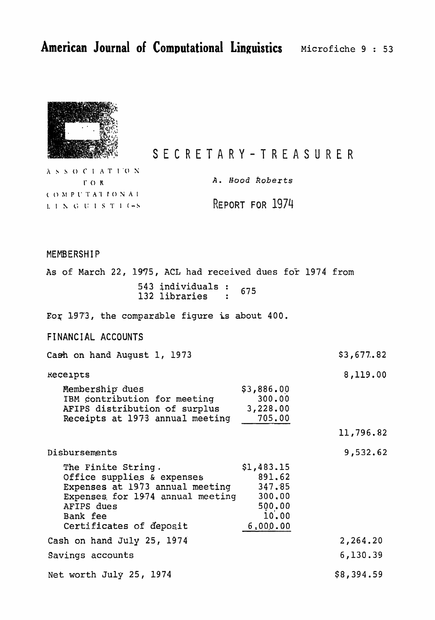\$3,677.82

8,119.00

11,796.82

9,532.62



SECRETARY-TREASURER

ASSOCIATION  $\Gamma$  OR COMPUTATIONAL LINGUISTIC-S

**A. Hood** *koberts* 

REPORT FOR 1974

## MEMBERSHIP

**As** of March 22, **1975,** ACL had **received dues** foi- **1974** from **individuals**  675 libraries

**Eoy 197'3,** the **comparable** figure is about 400.

**FI NANC** I **AL ACCOUNTS** 

**Cash** on hand **August** 1, 1973

Receipts

**14.14 Membership dues 14.14 S3,886.00** 1BM contribution for meeting 300.00<br>AFIPS distribution of surplus 3,228.00 AFIPS distribution of surplus **Receipts** at 1933 annual **meeting** 705.00

Disbursements

The **Finite String.**   $$1,483.15$ **Office supp1ie.s** & expenses 891.62 Expenses at **1973 annual meeting**  347.85 **Expenses.** for **1974 annual** meeting 300,00 500.00 **AFTPS** dues  $10,00$ **Bank fee**  Certificates **of** deposit  $6,000.00$ **Cash on hand** July **25, 1974**  2,264.20 **Savings accounts**  6,130.39 \$8,394.59 **Net worth** July **25, 1974**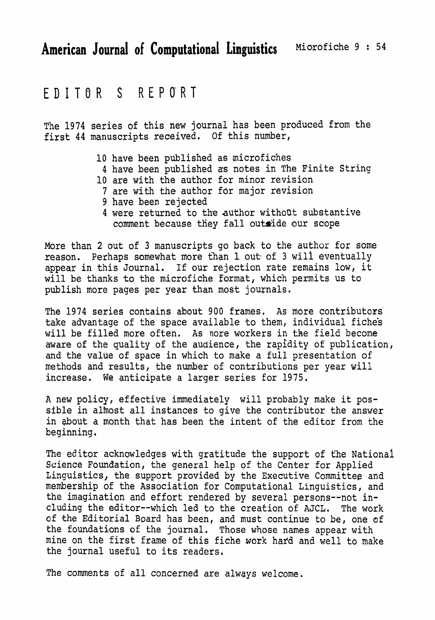## EDITOR S REPORT

The 1974 **series** of this new journal has **been** produced **from** the **first 44 manuscripts** received. Of this **number,** 

- 10 have **been** published as microfiches
- 4 have **been** published as notes in The Finite String
- 10 are with the author **for** minor **revision**
- **7 are** with **the** author for major **revision**
- **9 have been rejected**
- **4 were returned to the author** withoot substantive comment because they fall outside our scope

More than 2 out of **3** manuscripts go back to the **author for some reason.** Perhaps somewhat more than 1 **out of 3 will** eventually appear in this Journal. If our rejection rate remains **low,** it **will** be **thanks** to the microfiche **format,** which permits us to publish more pages per year than most journals.

The 1974 series contains about 900 frames, As more contributors take advantage of the space available to them, individual fiche's will be filled **more** often, As nore **workers** in the field become aware of the quality of the audience, the rapidity of publication, and the value of space in which to make a full presentation of **methods** and results, the number of **contributions** per **year** will **increase.** We anticipate a larger **series for 1975.** 

**A** new policy, effective immediately will probably **make** it pos**sible** in almost all instances to give the contributor the answer in **&out** a month that has **been** the intent of the editor **from** the beginning.

The editor acknowledges with gratitude the support of the National **Science** Foundation, the general help of the Center for Applied **Linguistics,** the support provided by the Executive **Committee** and **membership** of the Association for Computational **Linguistics,** and the imagination and effort rendered **by several persons--not including the editor--which led to the** creation of **AJCL.** The work of the **Editorial** Board **has** been, and must continue to be, one **of**  the foundations of the journal. **Those** whose **names** appear with **mine on** the **first** frame of this fiche **work** hafd and well to make the journal useful to **its** readers.

The comments of all concerned are **always welcome.**